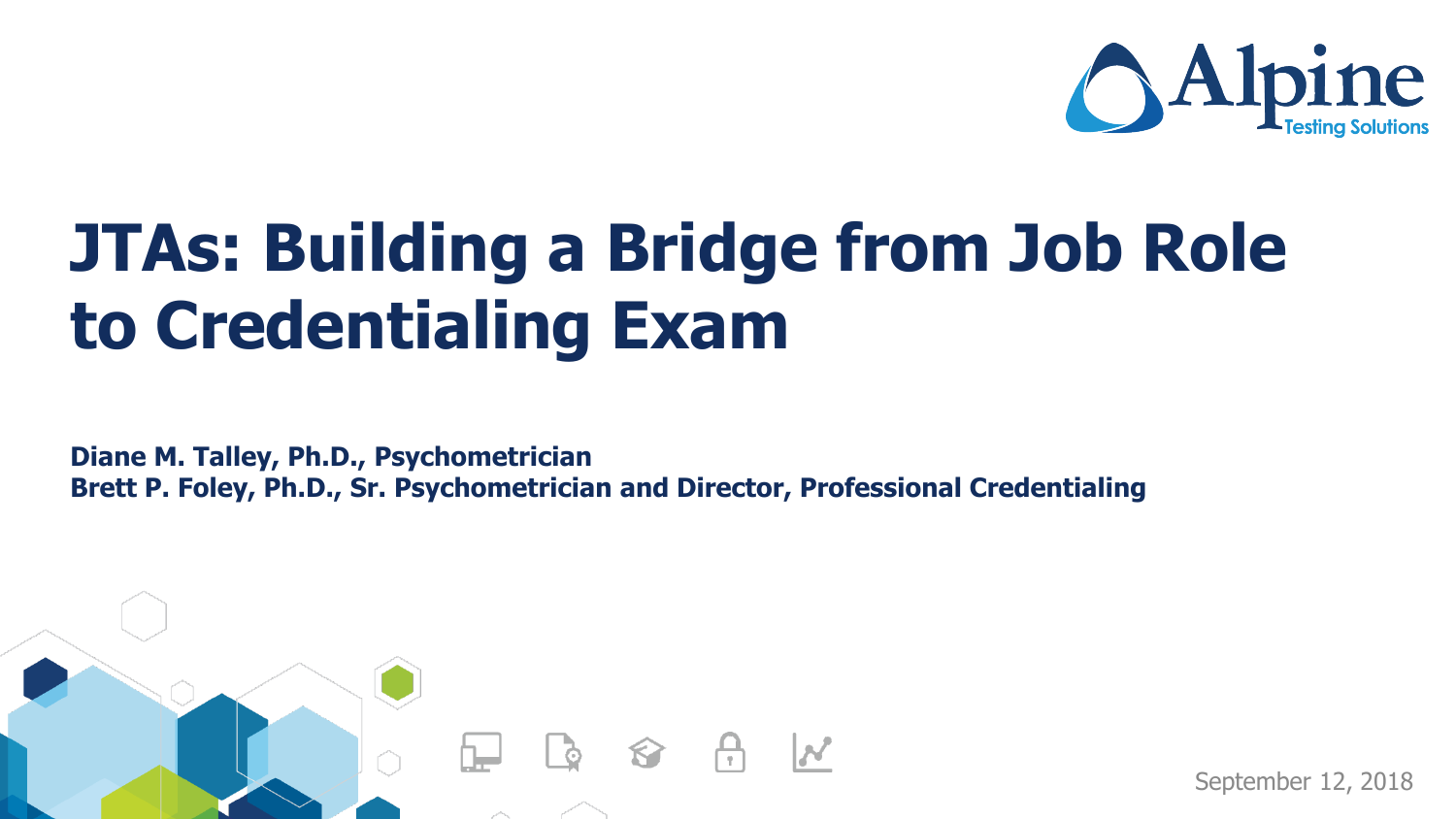

# **JTAs: Building a Bridge from Job Role to Credentialing Exam**

**Diane M. Talley, Ph.D., Psychometrician Brett P. Foley, Ph.D., Sr. Psychometrician and Director, Professional Credentialing**



September 12, 2018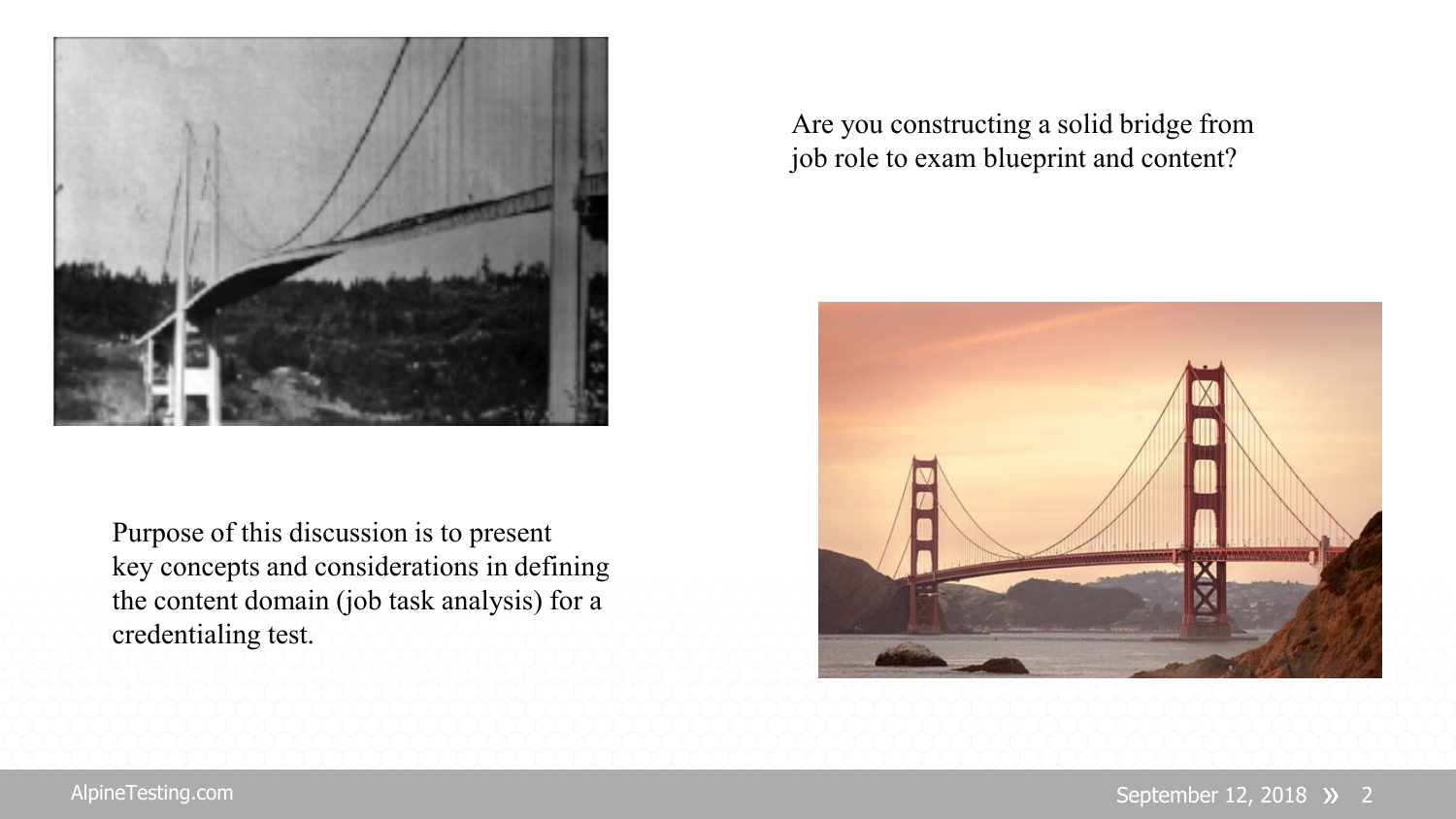

Purpose of this discussion is to present key concepts and considerations in defining the content domain (job task analysis) for a credentialing test.

Are you constructing a solid bridge from job role to exam blueprint and content?

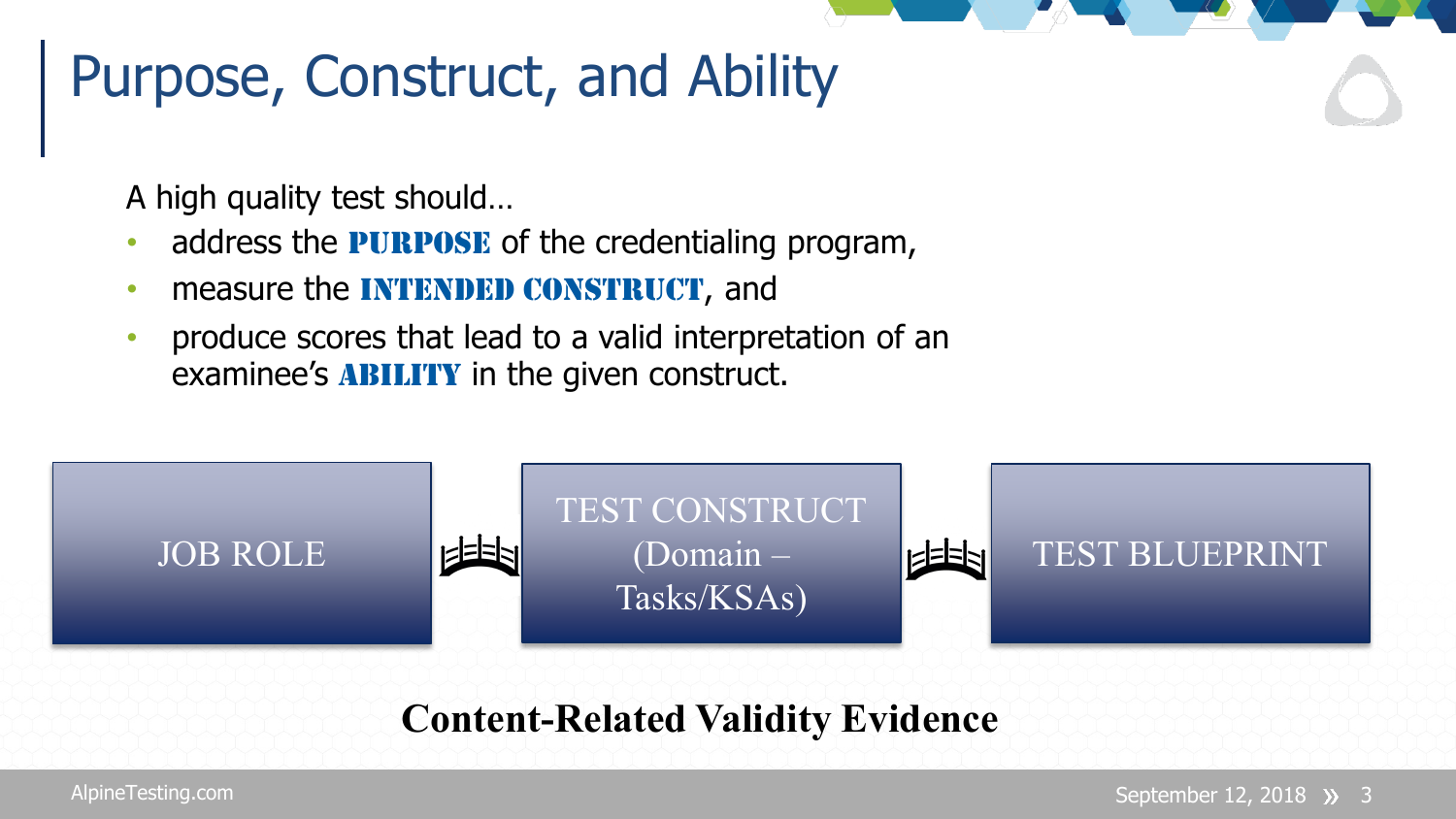#### Purpose, Construct, and Ability

A high quality test should…

- address the **PURPOSE** of the credentialing program,
- measure the **INTENDED CONSTRUCT**, and
- produce scores that lead to a valid interpretation of an examinee's **ABILITY** in the given construct.



#### **Content-Related Validity Evidence**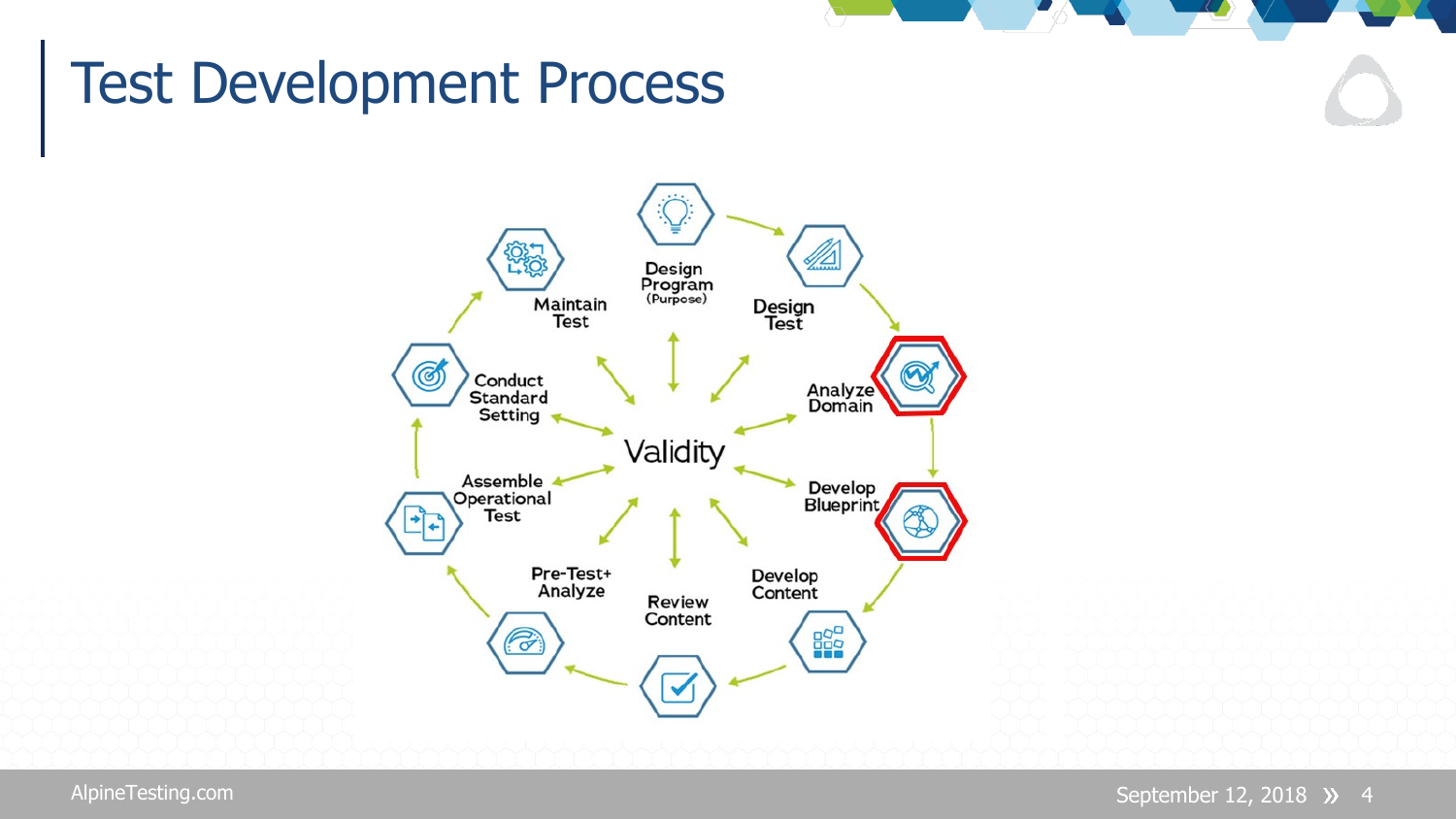#### Test Development Process

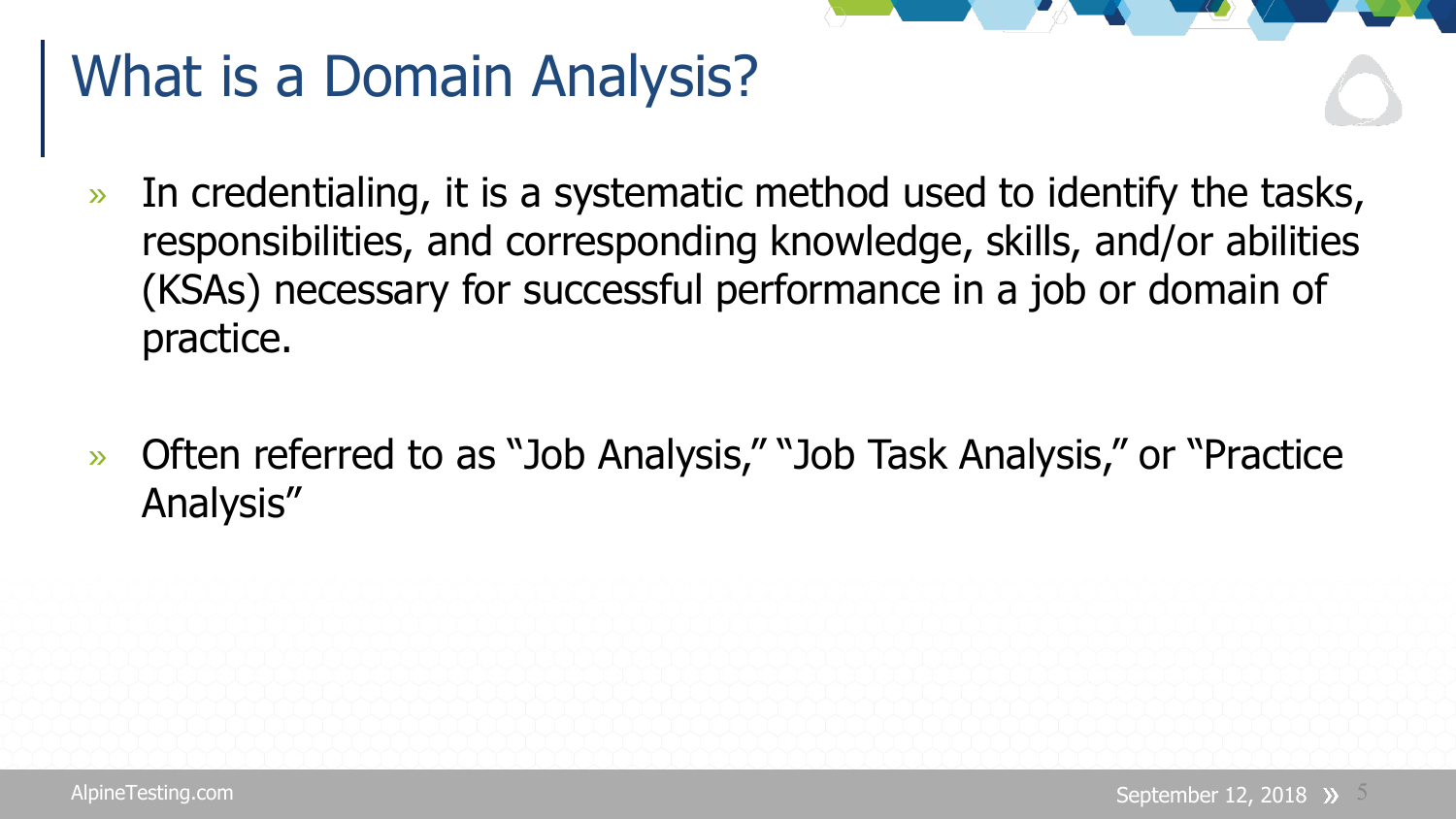### What is a Domain Analysis?

- » In credentialing, it is a systematic method used to identify the tasks, responsibilities, and corresponding knowledge, skills, and/or abilities (KSAs) necessary for successful performance in a job or domain of practice.
- » Often referred to as "Job Analysis," "Job Task Analysis," or "Practice Analysis"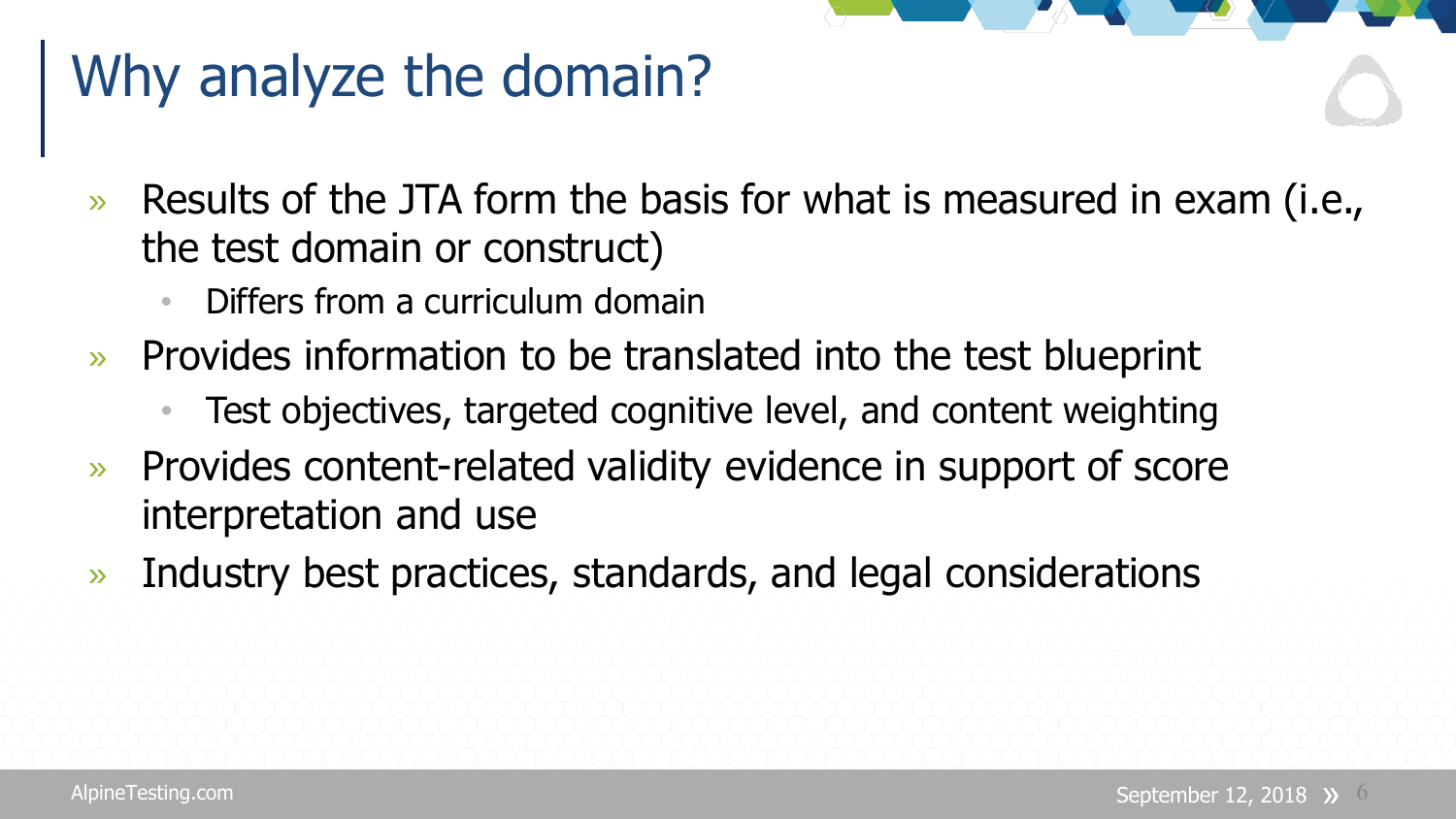## Why analyze the domain?

- » Results of the JTA form the basis for what is measured in exam (i.e., the test domain or construct)
	- Differs from a curriculum domain
- » Provides information to be translated into the test blueprint
	- Test objectives, targeted cognitive level, and content weighting
- » Provides content-related validity evidence in support of score interpretation and use
- » Industry best practices, standards, and legal considerations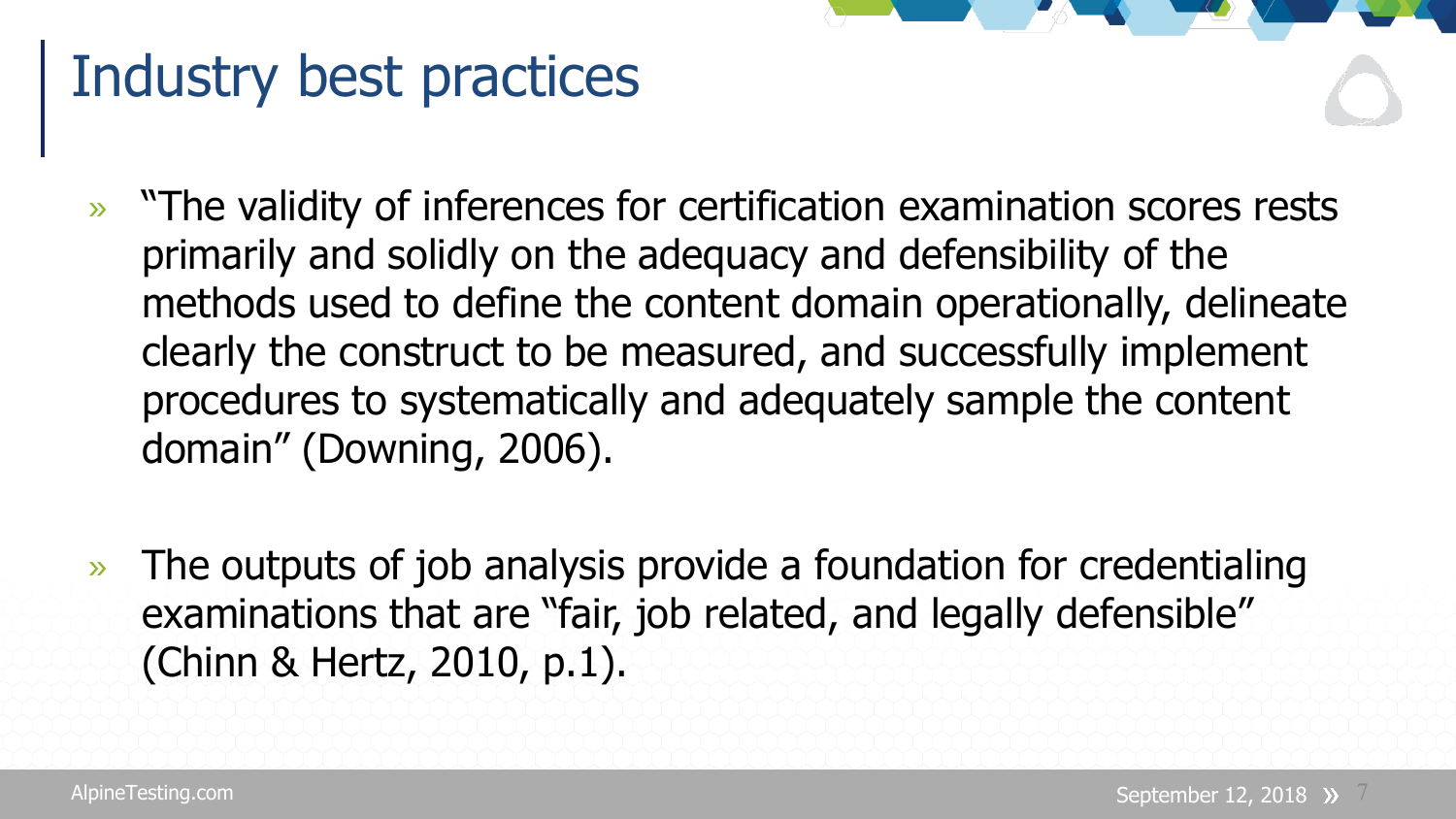#### Industry best practices

- » "The validity of inferences for certification examination scores rests primarily and solidly on the adequacy and defensibility of the methods used to define the content domain operationally, delineate clearly the construct to be measured, and successfully implement procedures to systematically and adequately sample the content domain" (Downing, 2006).
- » The outputs of job analysis provide a foundation for credentialing examinations that are "fair, job related, and legally defensible" (Chinn & Hertz, 2010, p.1).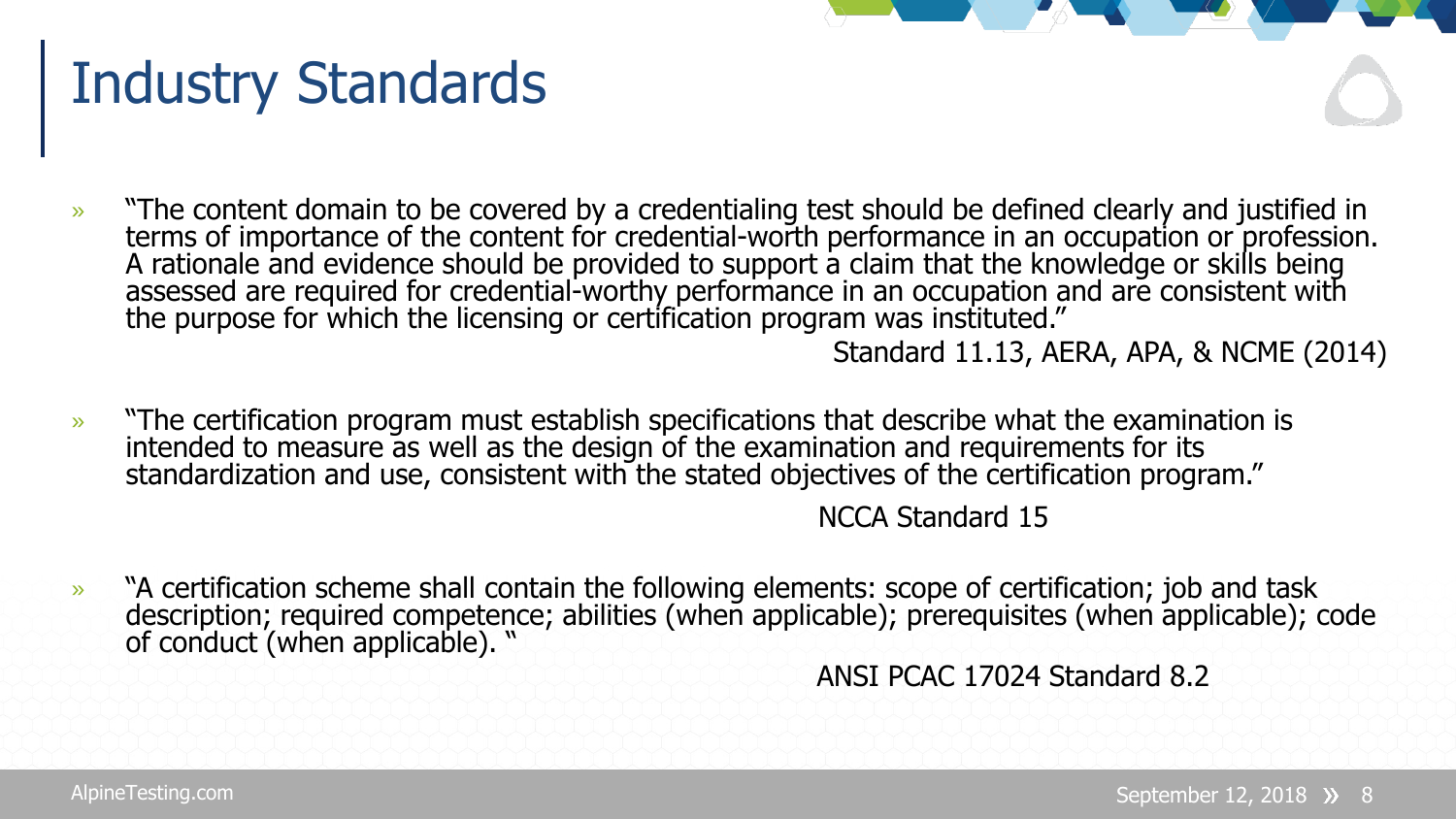#### Industry Standards

» "The content domain to be covered by a credentialing test should be defined clearly and justified in terms of importance of the content for credential-worth performance in an occupation or profession.<br>A rationale and evidence should be provided to support a claim that the knowledge or skills being assessed are required for credential-worthy performance in an occupation and are consistent with<br>the purpose for which the licensing or certification program was instituted."

Standard 11.13, AERA, APA, & NCME (2014)

» "The certification program must establish specifications that describe what the examination is intended to measure as well as the design of the examination and requirements for its standardization and use, consistent with the stated objectives of the certification program."

NCCA Standard 15

» "A certification scheme shall contain the following elements: scope of certification; job and task description; required competence; abilities (when applicable); prerequisites (when applicable); code of conduct (when applicable). "

ANSI PCAC 17024 Standard 8.2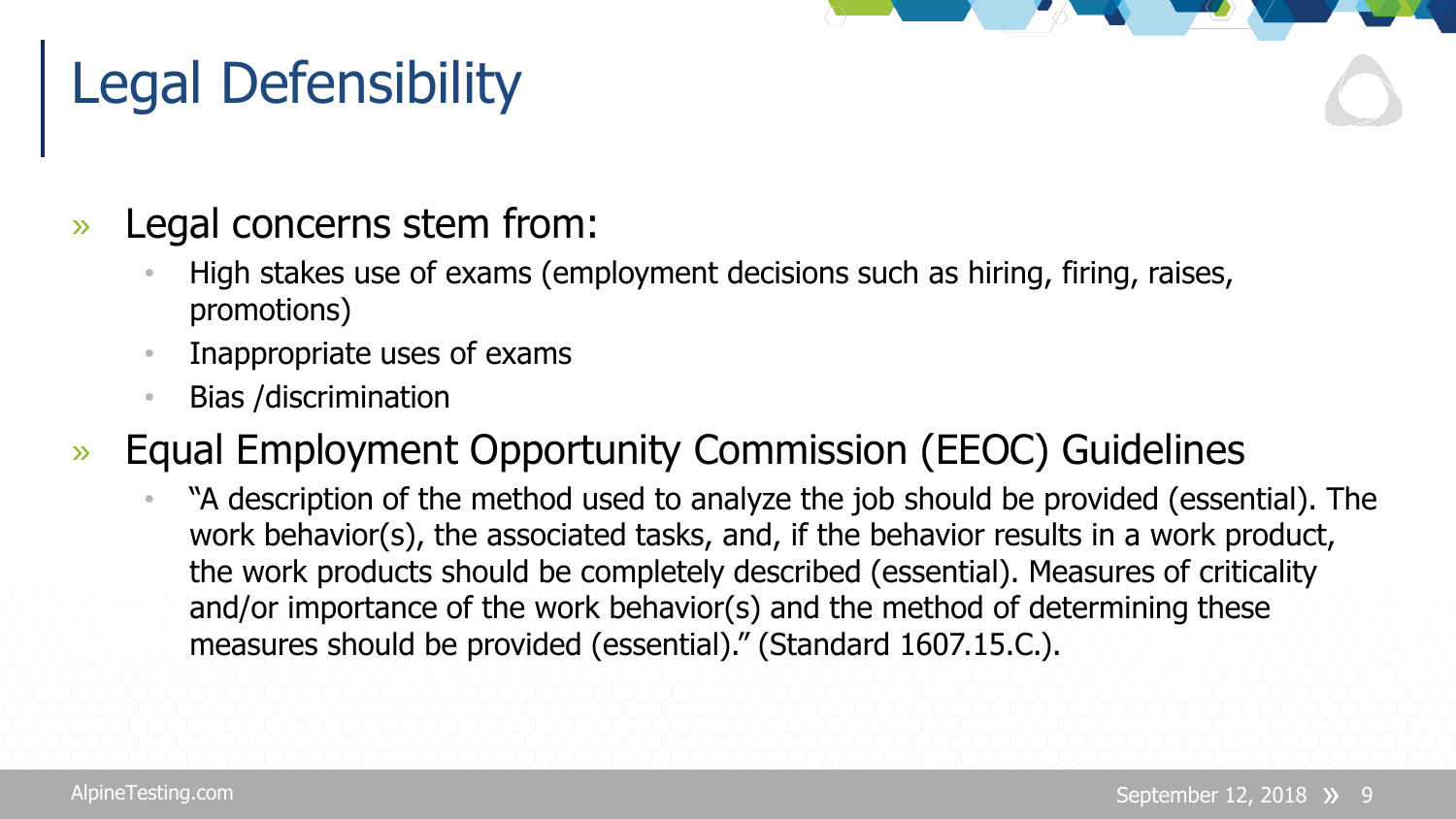## Legal Defensibility

- » Legal concerns stem from:
	- High stakes use of exams (employment decisions such as hiring, firing, raises, promotions)
	- Inappropriate uses of exams
	- Bias /discrimination
- » Equal Employment Opportunity Commission (EEOC) Guidelines
	- "A description of the method used to analyze the job should be provided (essential). The work behavior(s), the associated tasks, and, if the behavior results in a work product, the work products should be completely described (essential). Measures of criticality and/or importance of the work behavior(s) and the method of determining these measures should be provided (essential)." (Standard 1607.15.C.).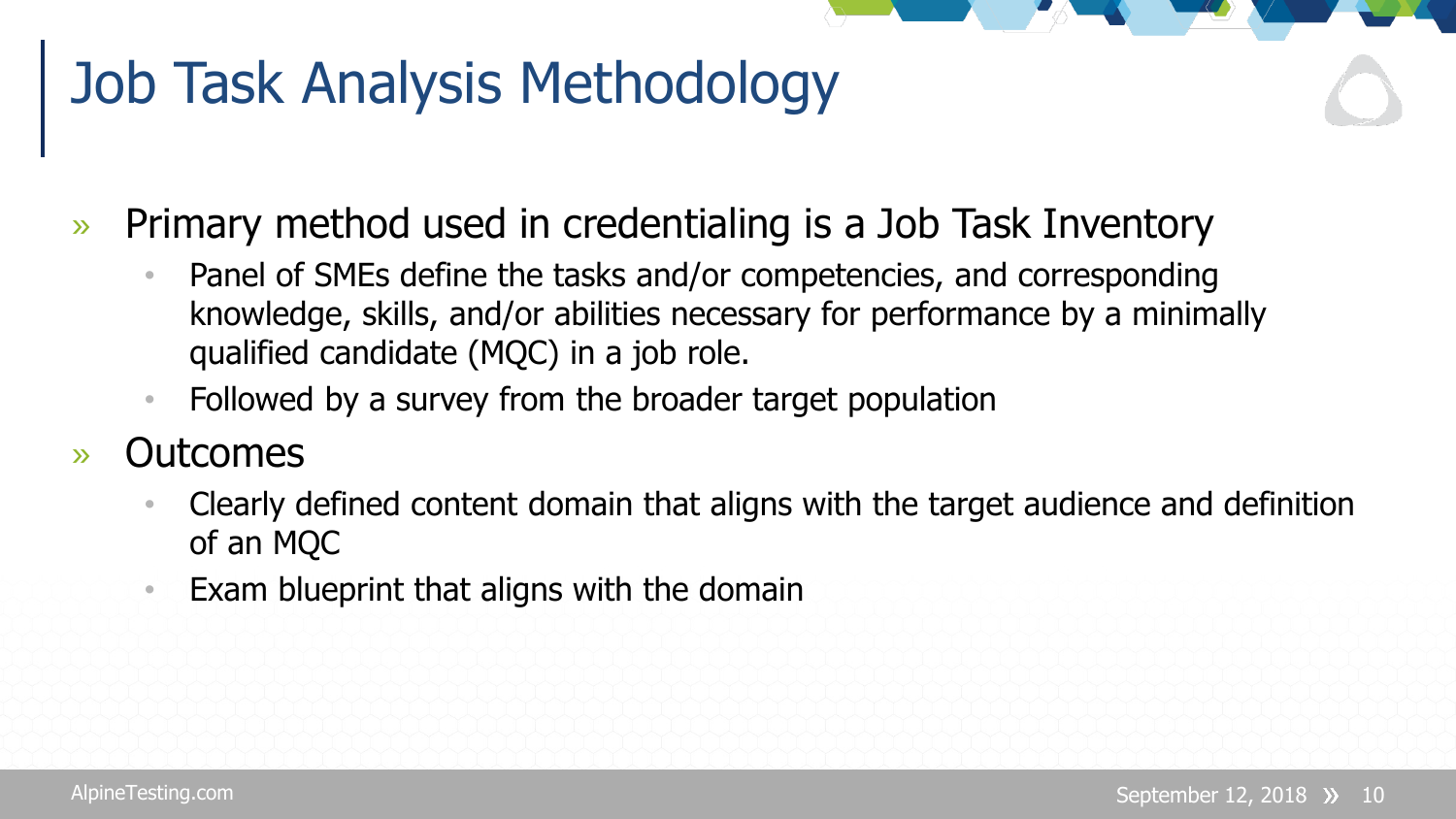### Job Task Analysis Methodology

- » Primary method used in credentialing is a Job Task Inventory
	- Panel of SMEs define the tasks and/or competencies, and corresponding knowledge, skills, and/or abilities necessary for performance by a minimally qualified candidate (MQC) in a job role.
	- Followed by a survey from the broader target population
- » Outcomes
	- Clearly defined content domain that aligns with the target audience and definition of an MQC
	- Exam blueprint that aligns with the domain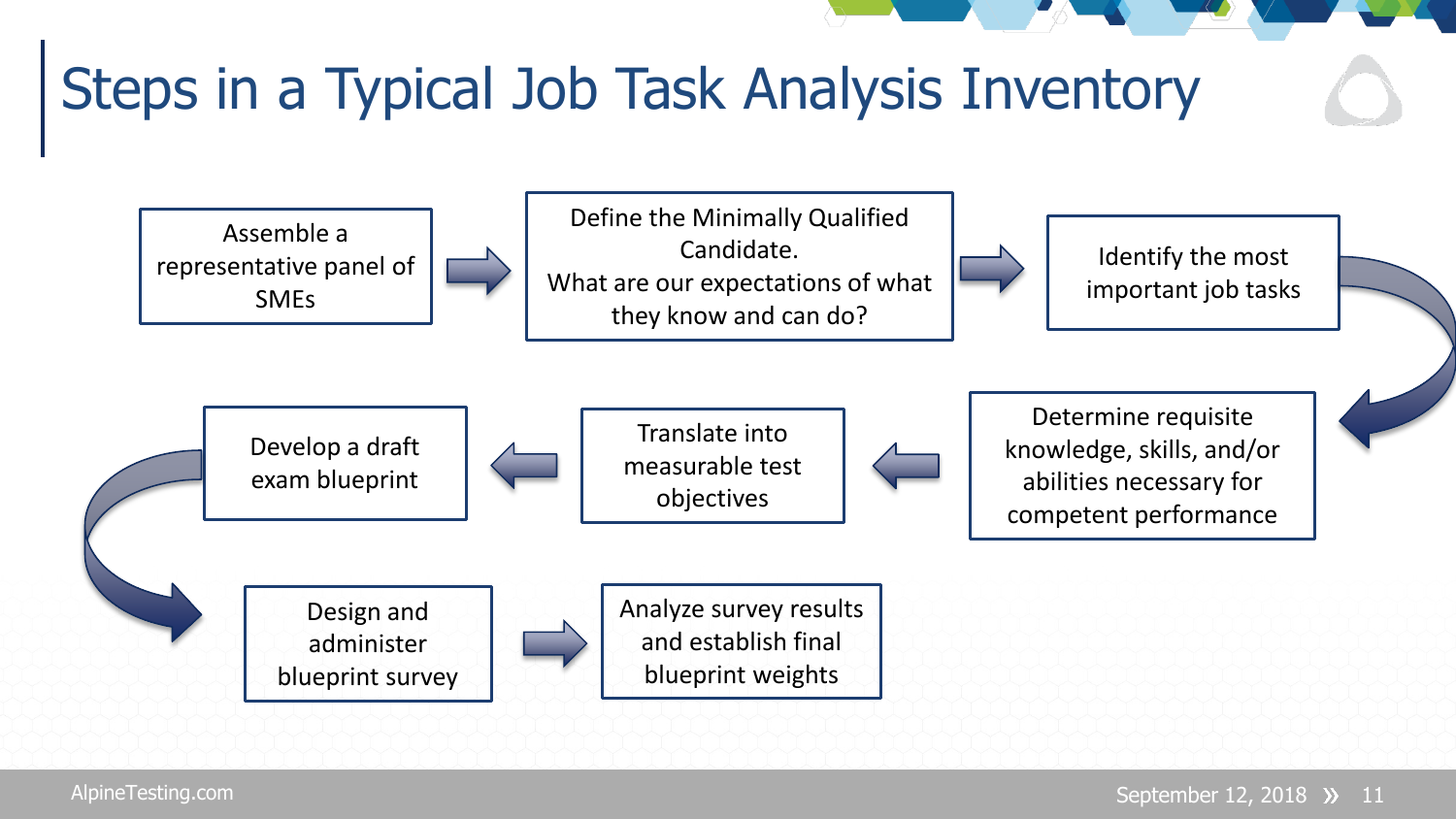## Steps in a Typical Job Task Analysis Inventory

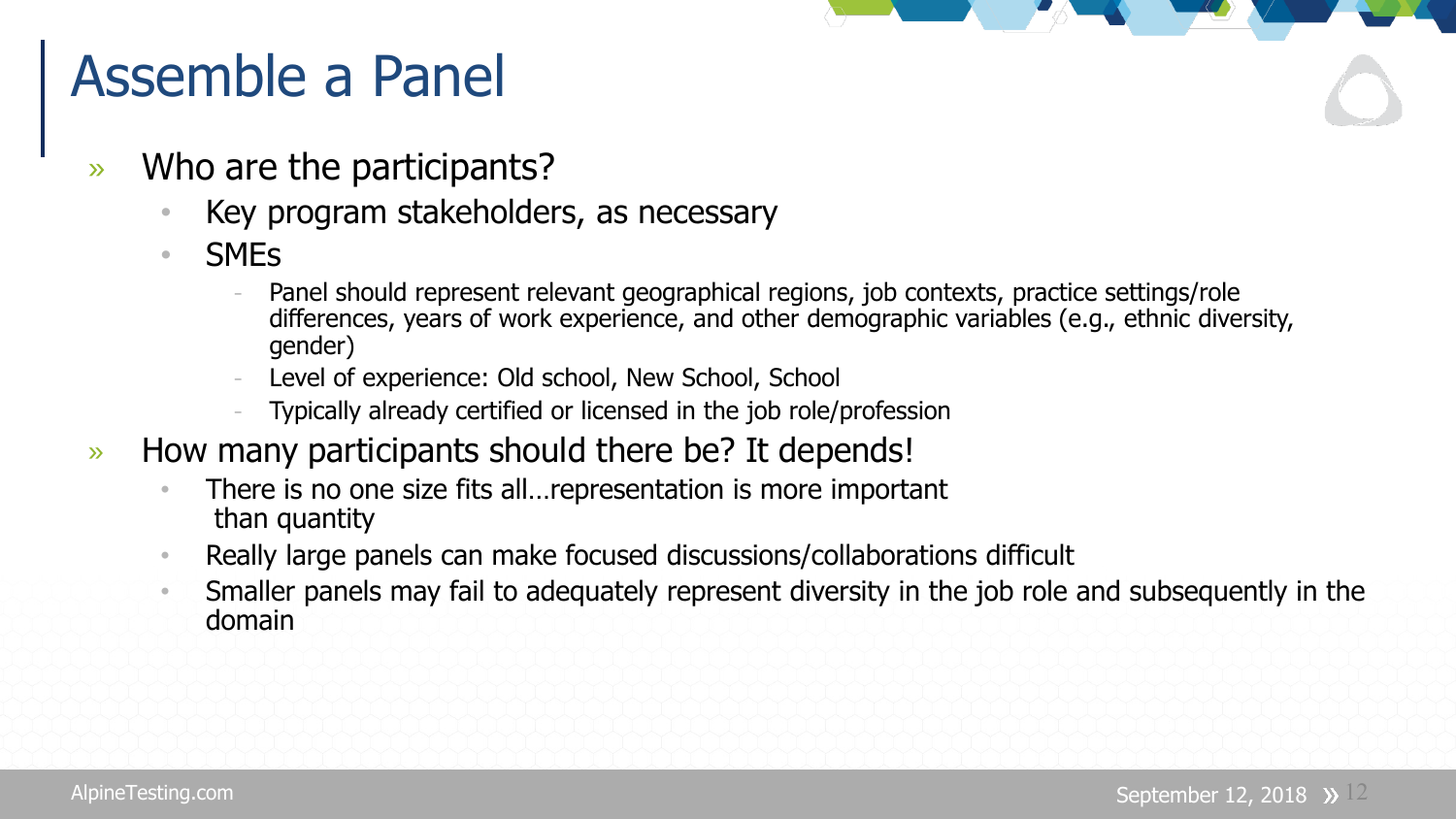#### Assemble a Panel

- » Who are the participants?
	- Key program stakeholders, as necessary
	- SMEs
		- Panel should represent relevant geographical regions, job contexts, practice settings/role differences, years of work experience, and other demographic variables (e.g., ethnic diversity, gender)
		- Level of experience: Old school, New School, School
		- Typically already certified or licensed in the job role/profession
- » How many participants should there be? It depends!
	- There is no one size fits all... representation is more important than quantity
	- Really large panels can make focused discussions/collaborations difficult
	- Smaller panels may fail to adequately represent diversity in the job role and subsequently in the domain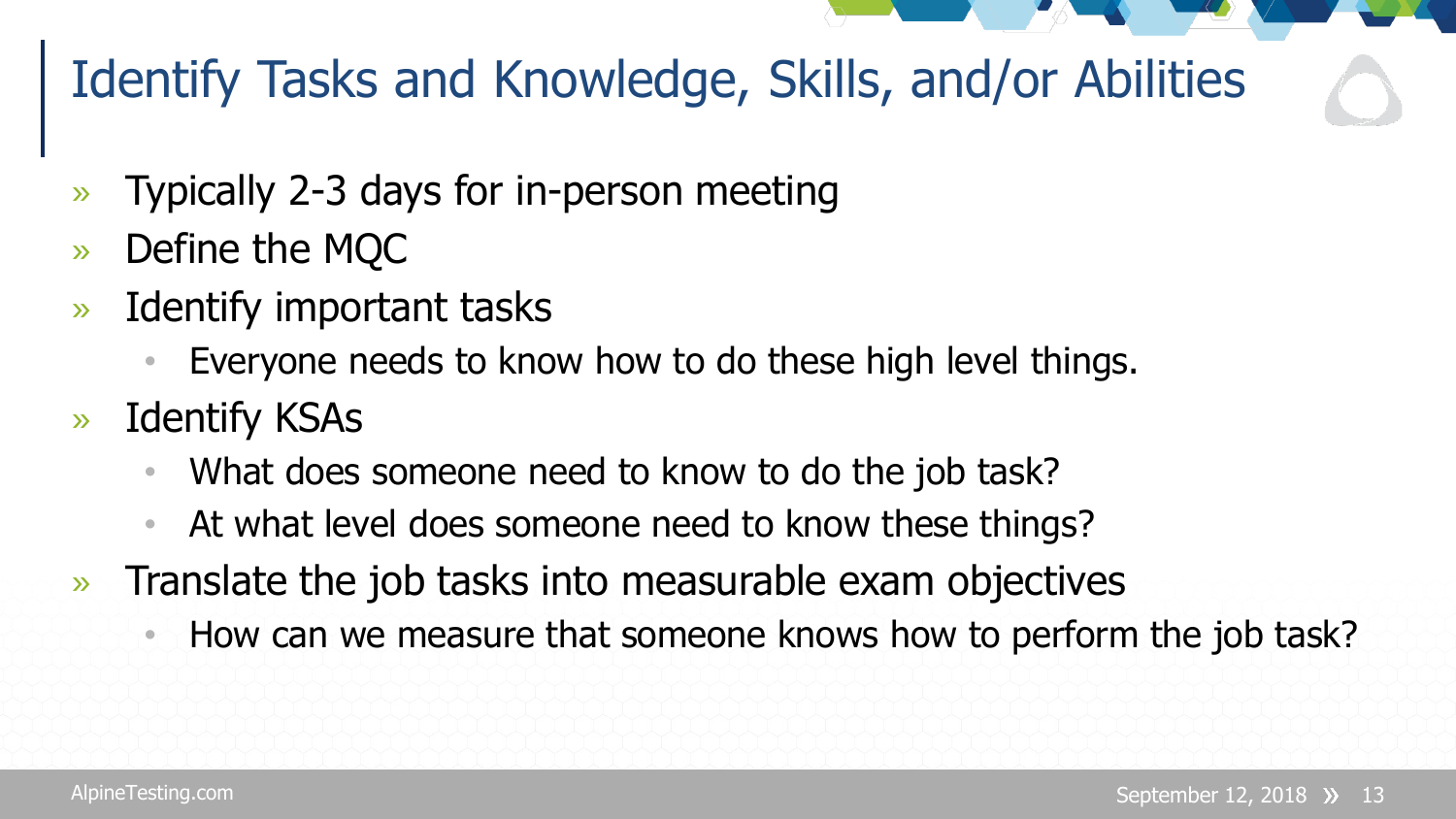#### Identify Tasks and Knowledge, Skills, and/or Abilities

- » Typically 2-3 days for in-person meeting
- » Define the MQC
- » Identify important tasks
	- Everyone needs to know how to do these high level things.
- » Identify KSAs
	- What does someone need to know to do the job task?
	- At what level does someone need to know these things?
- » Translate the job tasks into measurable exam objectives
	- How can we measure that someone knows how to perform the job task?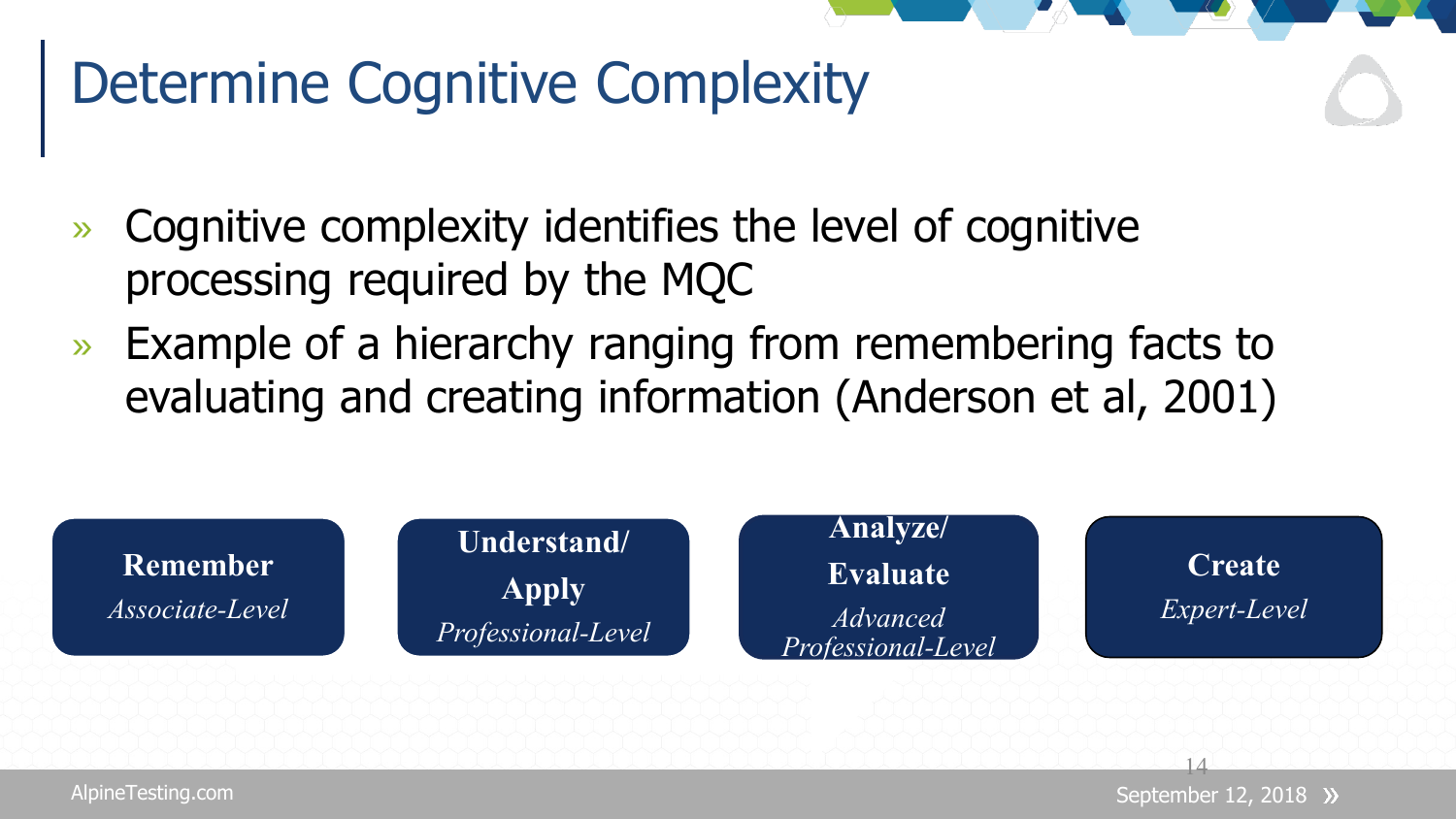#### Determine Cognitive Complexity

- » Cognitive complexity identifies the level of cognitive processing required by the MQC
- » Example of a hierarchy ranging from remembering facts to evaluating and creating information (Anderson et al, 2001)

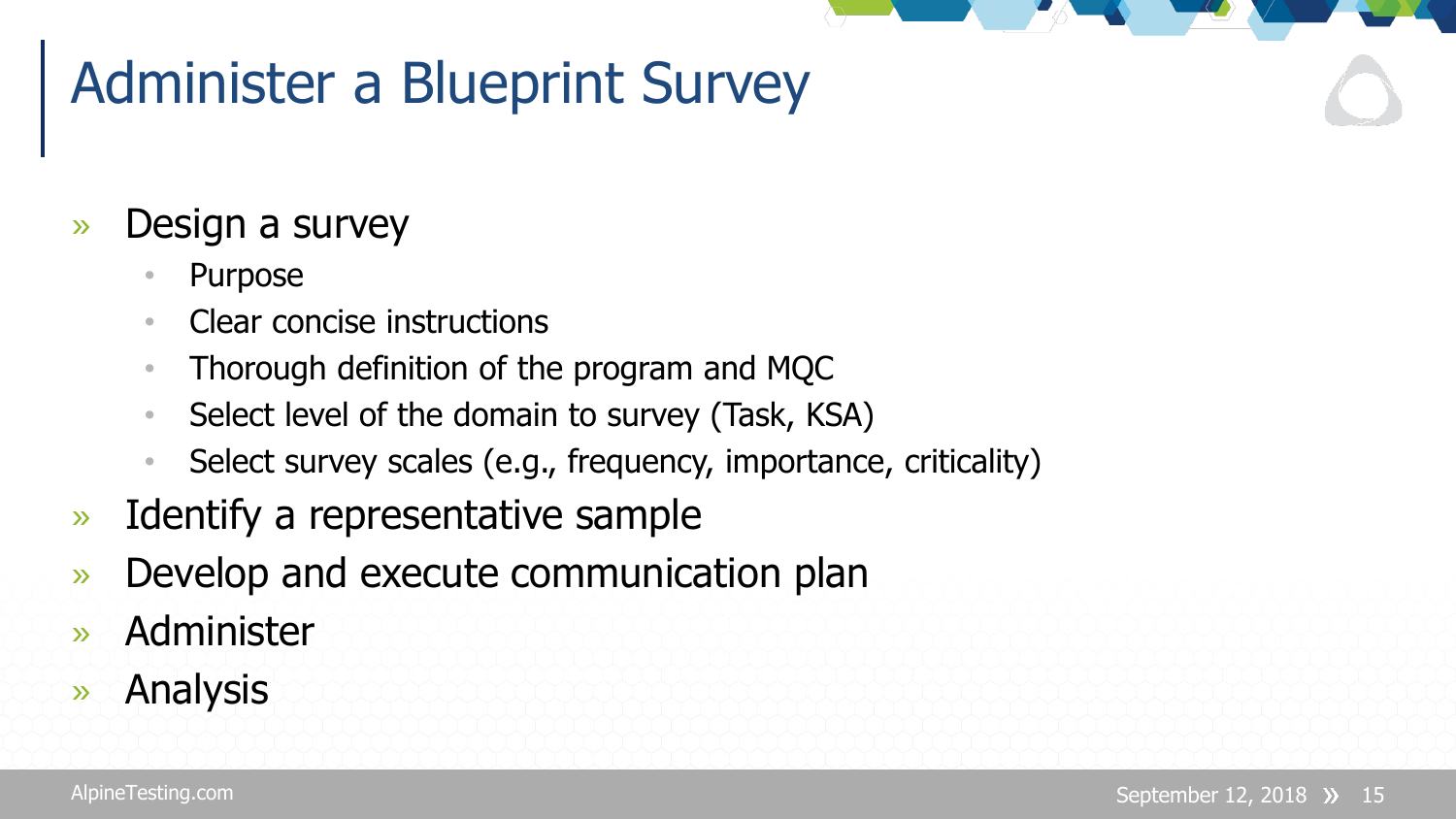### Administer a Blueprint Survey

#### » Design a survey

- Purpose
- Clear concise instructions
- Thorough definition of the program and MQC
- Select level of the domain to survey (Task, KSA)
- Select survey scales (e.g., frequency, importance, criticality)
- » Identify a representative sample
- » Develop and execute communication plan
- » Administer
- » Analysis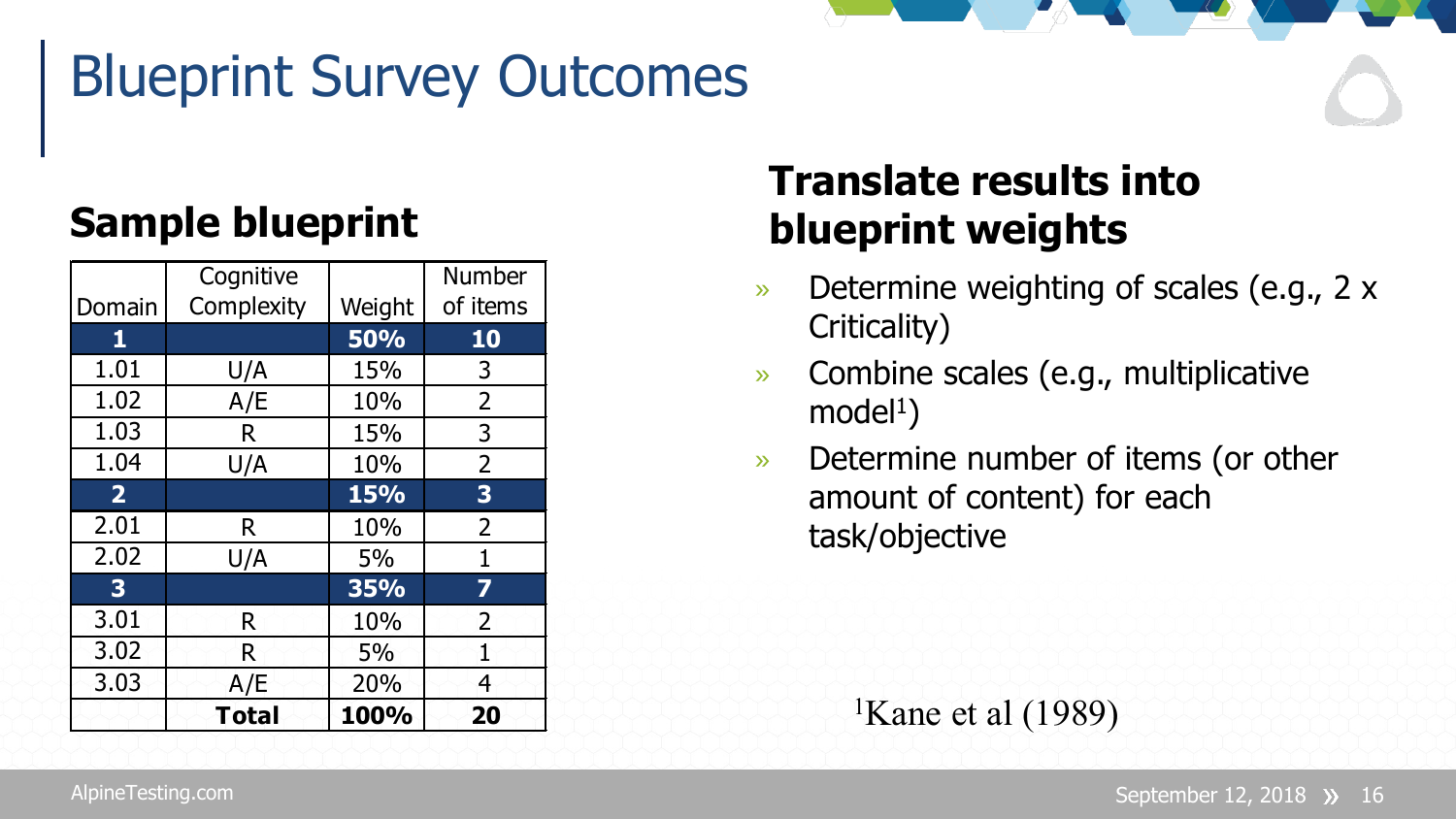## Blueprint Survey Outcomes

#### **Sample blueprint**

|                         | Cognitive    |        | Number                  |
|-------------------------|--------------|--------|-------------------------|
| Domain                  | Complexity   | Weight | of items                |
| $\mathbf{1}$            |              | 50%    | 10                      |
| 1.01                    | U/A          | 15%    | 3                       |
| 1.02                    | A/E          | 10%    | $\overline{2}$          |
| 1.03                    | R            | 15%    | 3                       |
| 1.04                    | U/A          | 10%    | $\overline{2}$          |
| 2 <sup>1</sup>          |              | 15%    | $\overline{\mathbf{3}}$ |
| 2.01                    | R            | 10%    | $\overline{2}$          |
| 2.02                    | U/A          | 5%     | $\mathbf{1}$            |
| $\overline{\mathbf{3}}$ |              | 35%    | 7                       |
| 3.01                    | R            | 10%    | 2                       |
| 3.02                    | R            | 5%     | 1                       |
| 3.03                    | A/E          | 20%    | 4                       |
|                         | <b>Total</b> | 100%   | 20                      |

#### **Translate results into blueprint weights**

- » Determine weighting of scales (e.g., 2 x Criticality)
- » Combine scales (e.g., multiplicative  $model<sup>1</sup>$ )
- » Determine number of items (or other amount of content) for each task/objective

<sup>1</sup>Kane et al  $(1989)$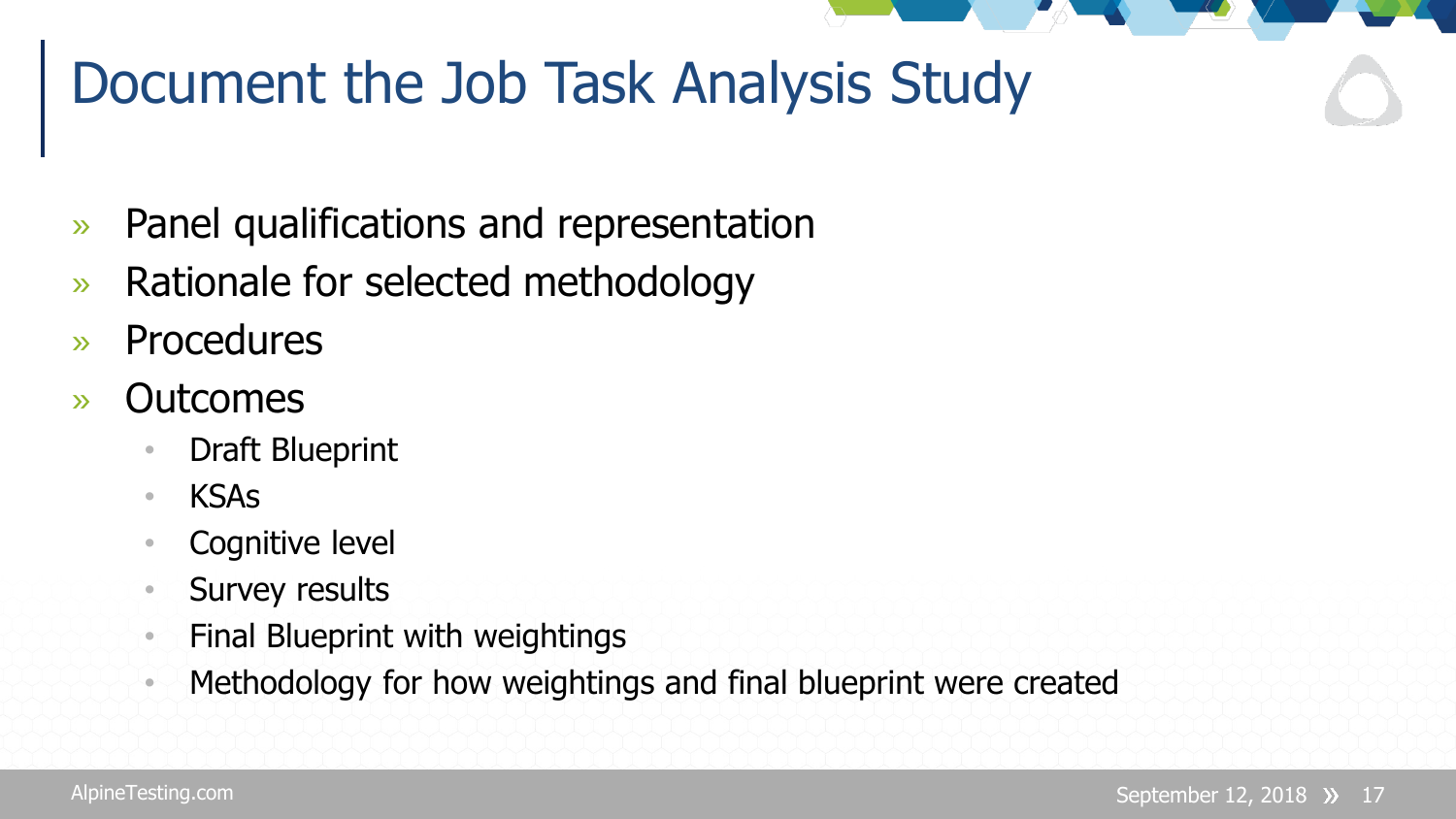#### Document the Job Task Analysis Study

- » Panel qualifications and representation
- » Rationale for selected methodology
- » Procedures
- » Outcomes
	- Draft Blueprint
	- KSAs
	- Cognitive level
	- Survey results
	- Final Blueprint with weightings
	- Methodology for how weightings and final blueprint were created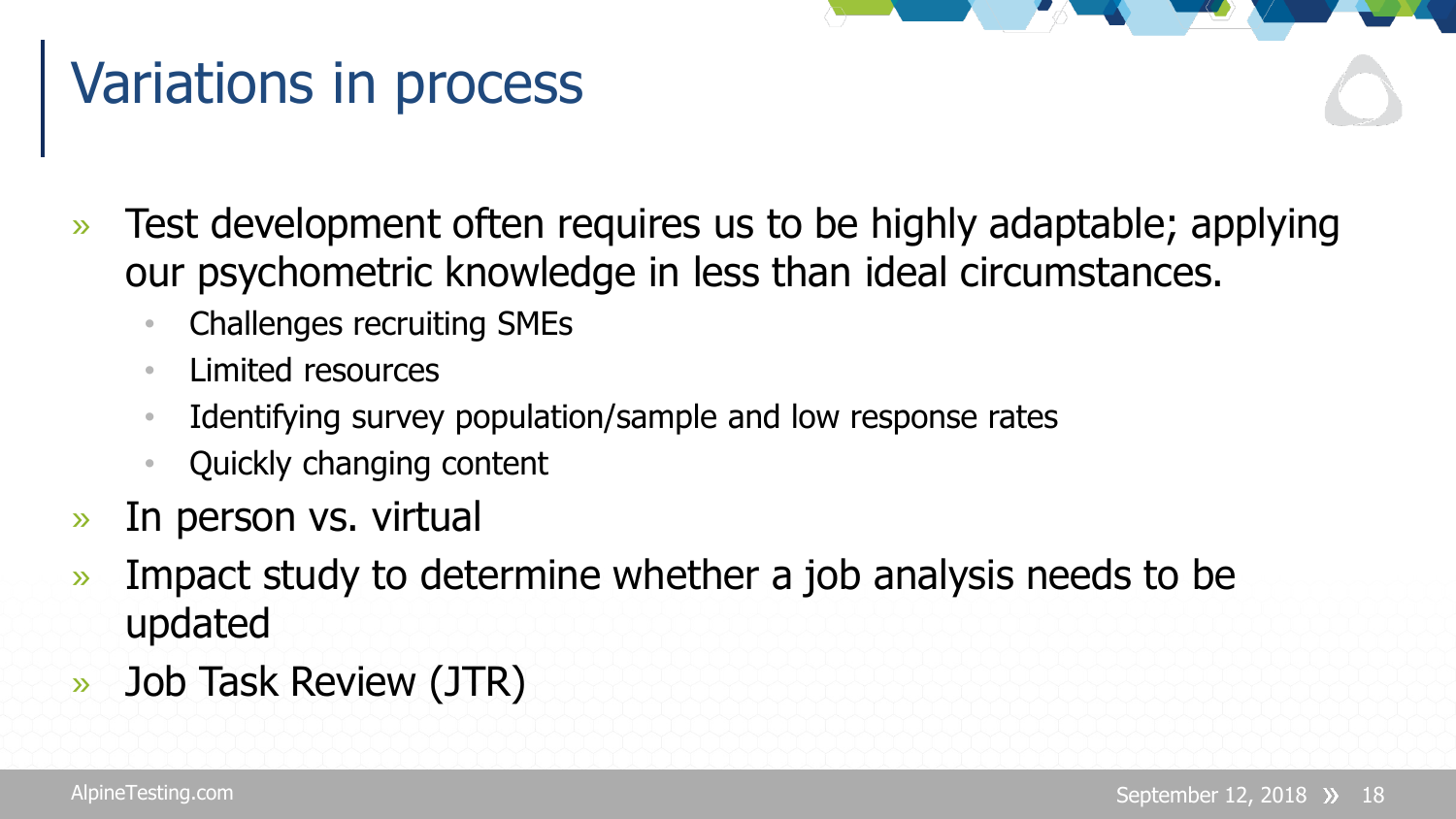### Variations in process

- » Test development often requires us to be highly adaptable; applying our psychometric knowledge in less than ideal circumstances.
	- Challenges recruiting SMEs
	- Limited resources
	- Identifying survey population/sample and low response rates
	- Quickly changing content
- » In person vs. virtual
- » Impact study to determine whether a job analysis needs to be updated
- » Job Task Review (JTR)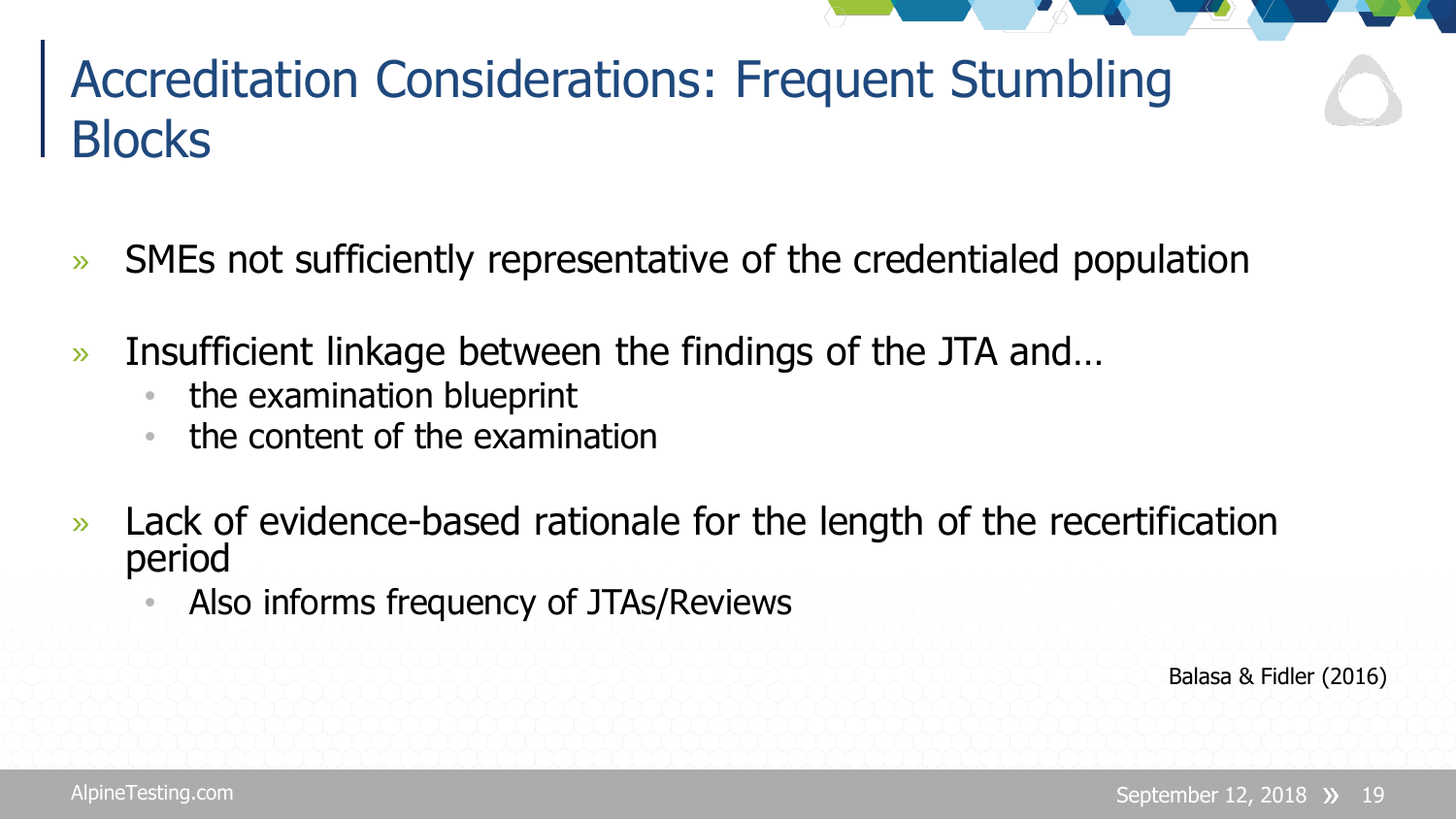#### Accreditation Considerations: Frequent Stumbling **Blocks**

- » SMEs not sufficiently representative of the credentialed population
- » Insufficient linkage between the findings of the JTA and…
	- the examination blueprint
	- the content of the examination
- » Lack of evidence-based rationale for the length of the recertification period
	- Also informs frequency of JTAs/Reviews

Balasa & Fidler (2016)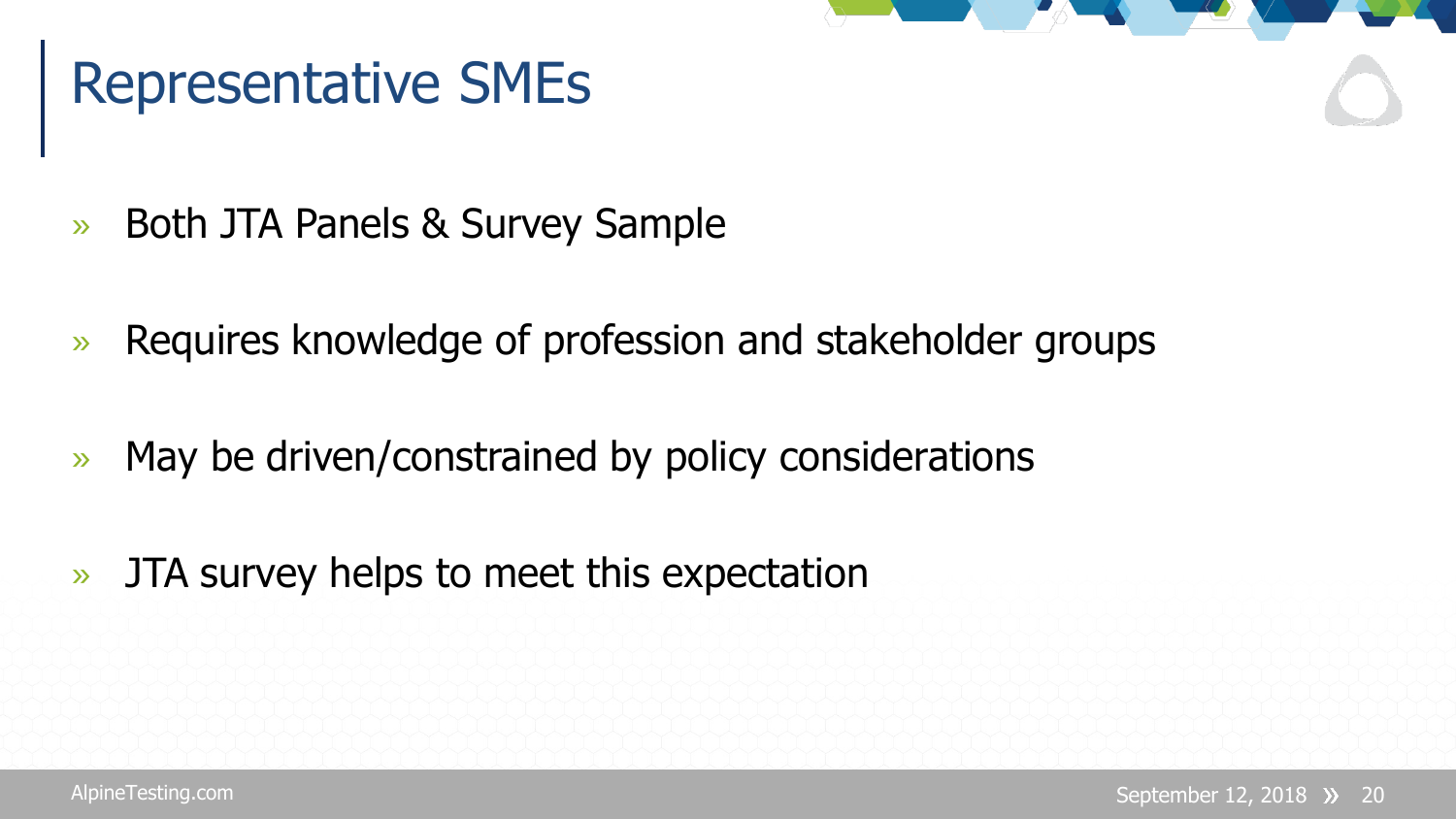## Representative SMEs

- » Both JTA Panels & Survey Sample
- » Requires knowledge of profession and stakeholder groups
- » May be driven/constrained by policy considerations
- » JTA survey helps to meet this expectation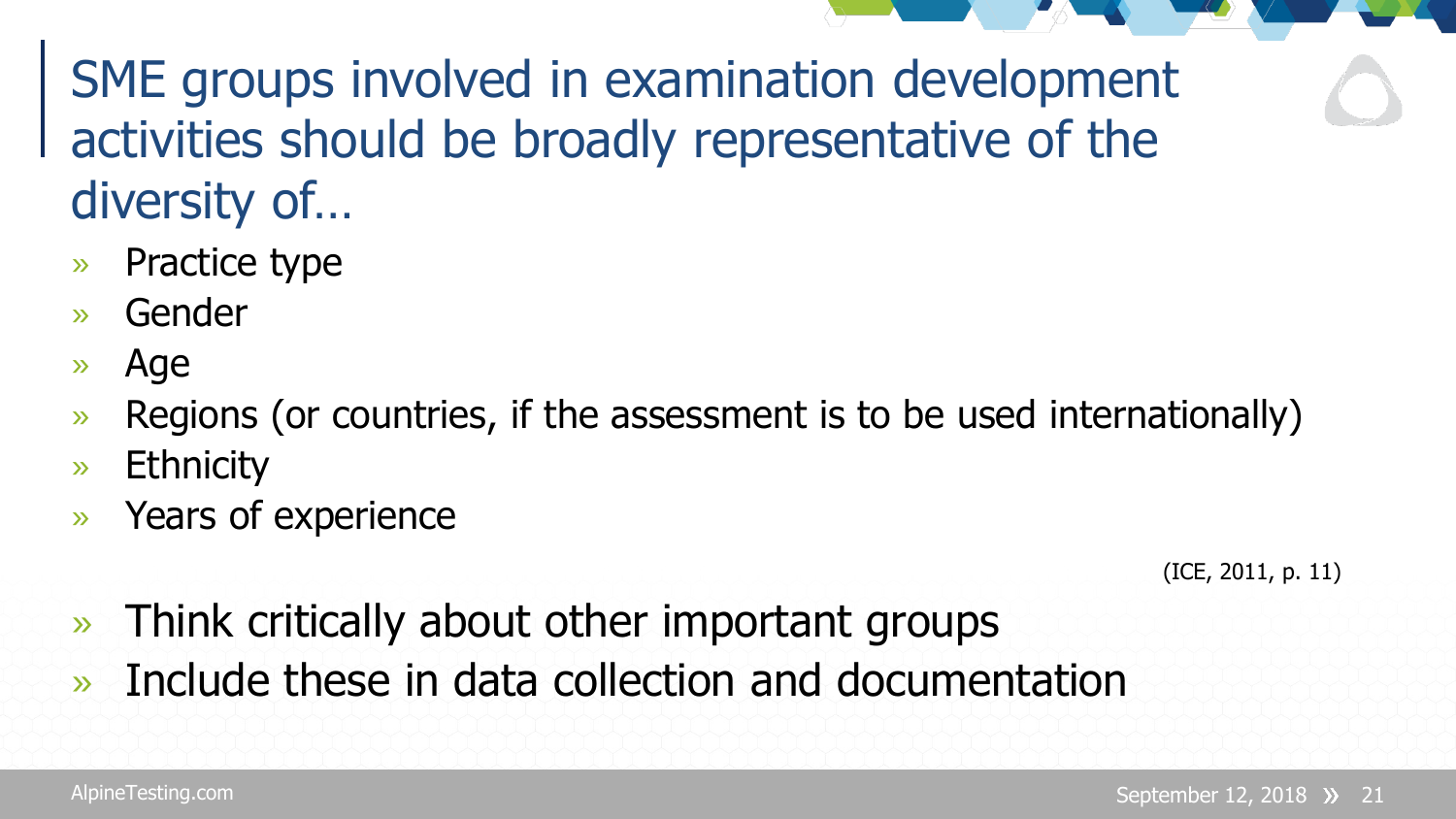SME groups involved in examination development activities should be broadly representative of the diversity of…

- » Practice type
- » Gender
- » Age
- » Regions (or countries, if the assessment is to be used internationally)
- » Ethnicity
- » Years of experience

(ICE, 2011, p. 11)

- » Think critically about other important groups
- » Include these in data collection and documentation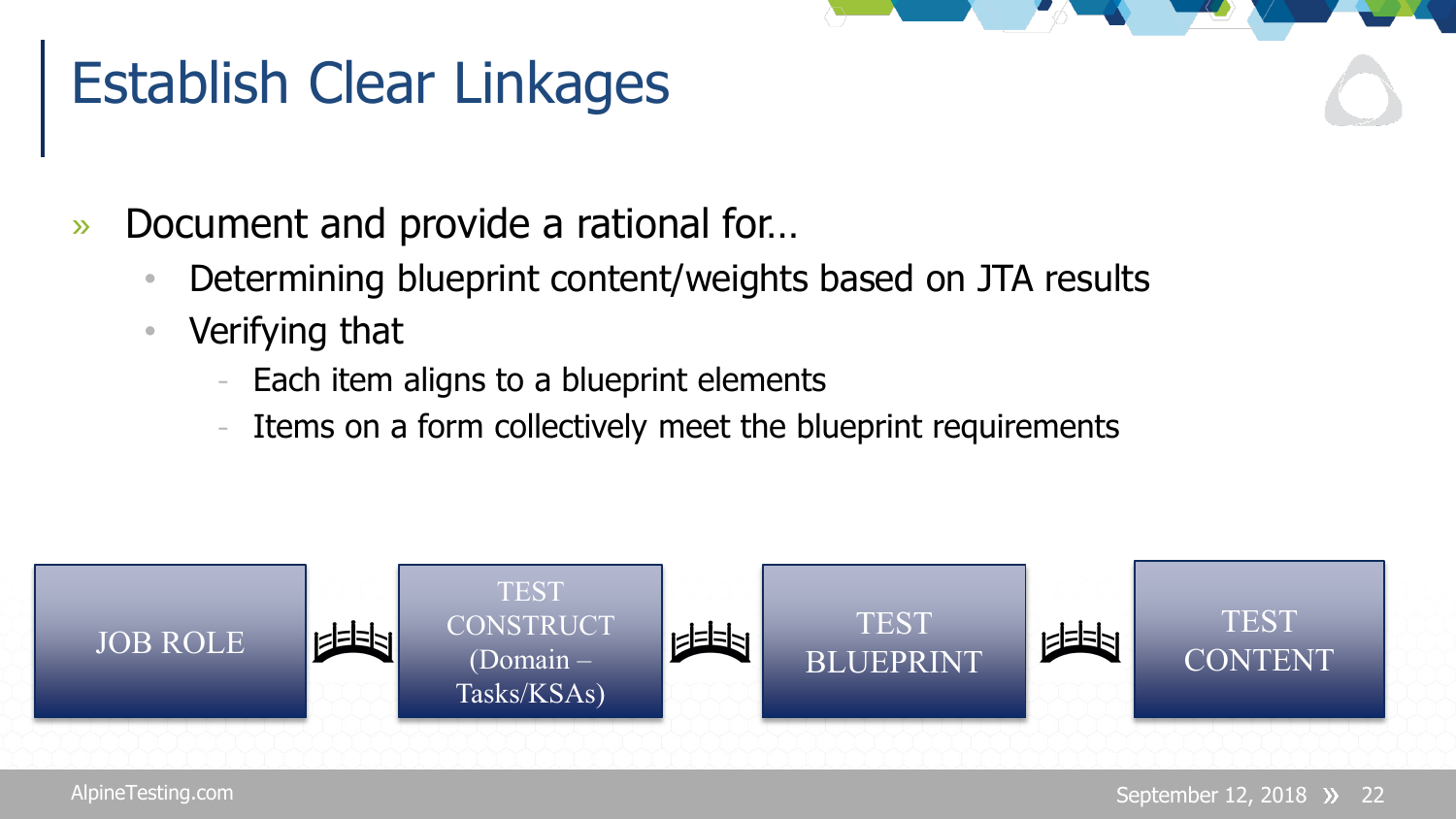#### Establish Clear Linkages

- » Document and provide a rational for…
	- Determining blueprint content/weights based on JTA results
	- Verifying that
		- Each item aligns to a blueprint elements
		- Items on a form collectively meet the blueprint requirements

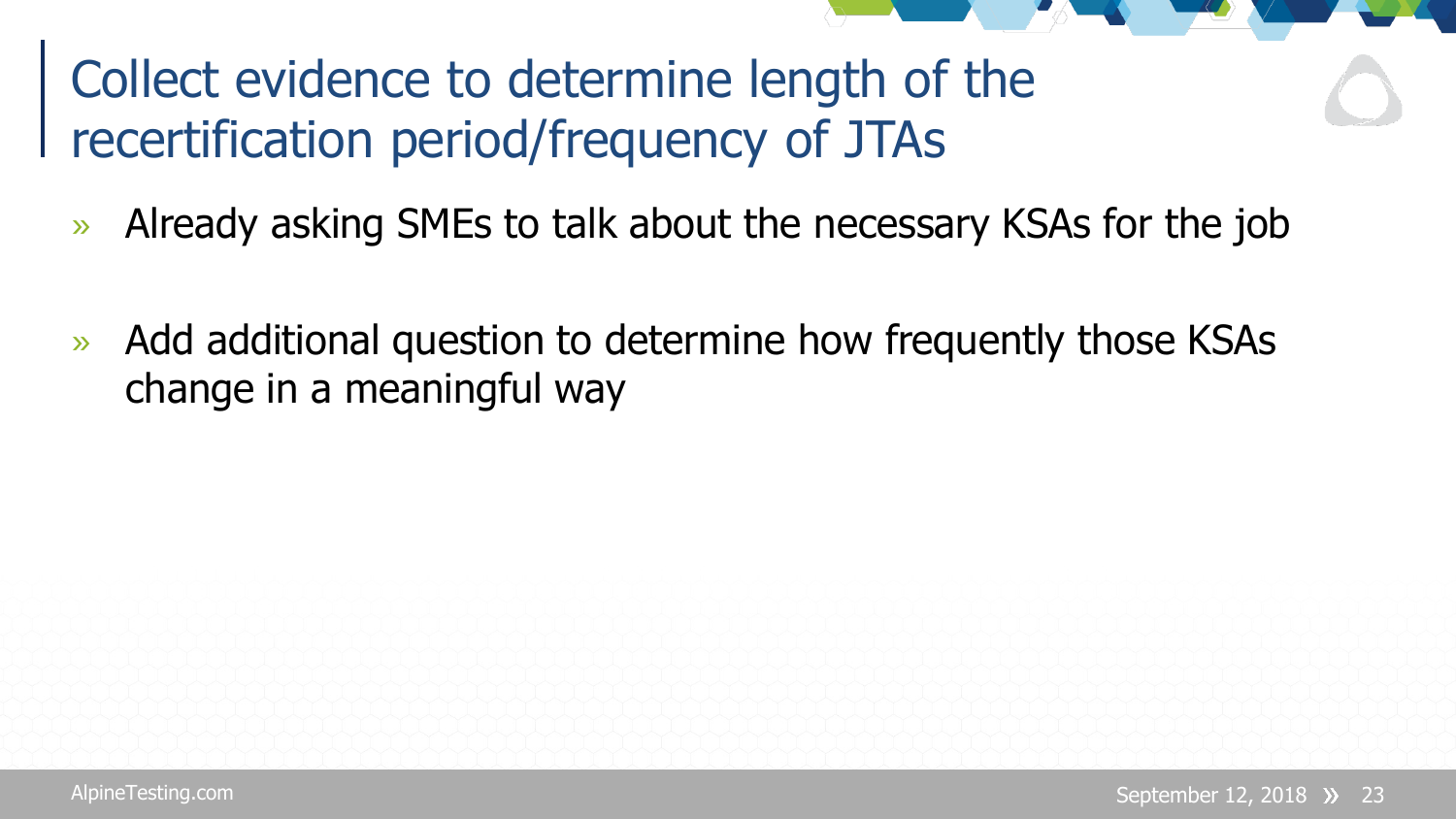#### Collect evidence to determine length of the recertification period/frequency of JTAs

- » Already asking SMEs to talk about the necessary KSAs for the job
- » Add additional question to determine how frequently those KSAs change in a meaningful way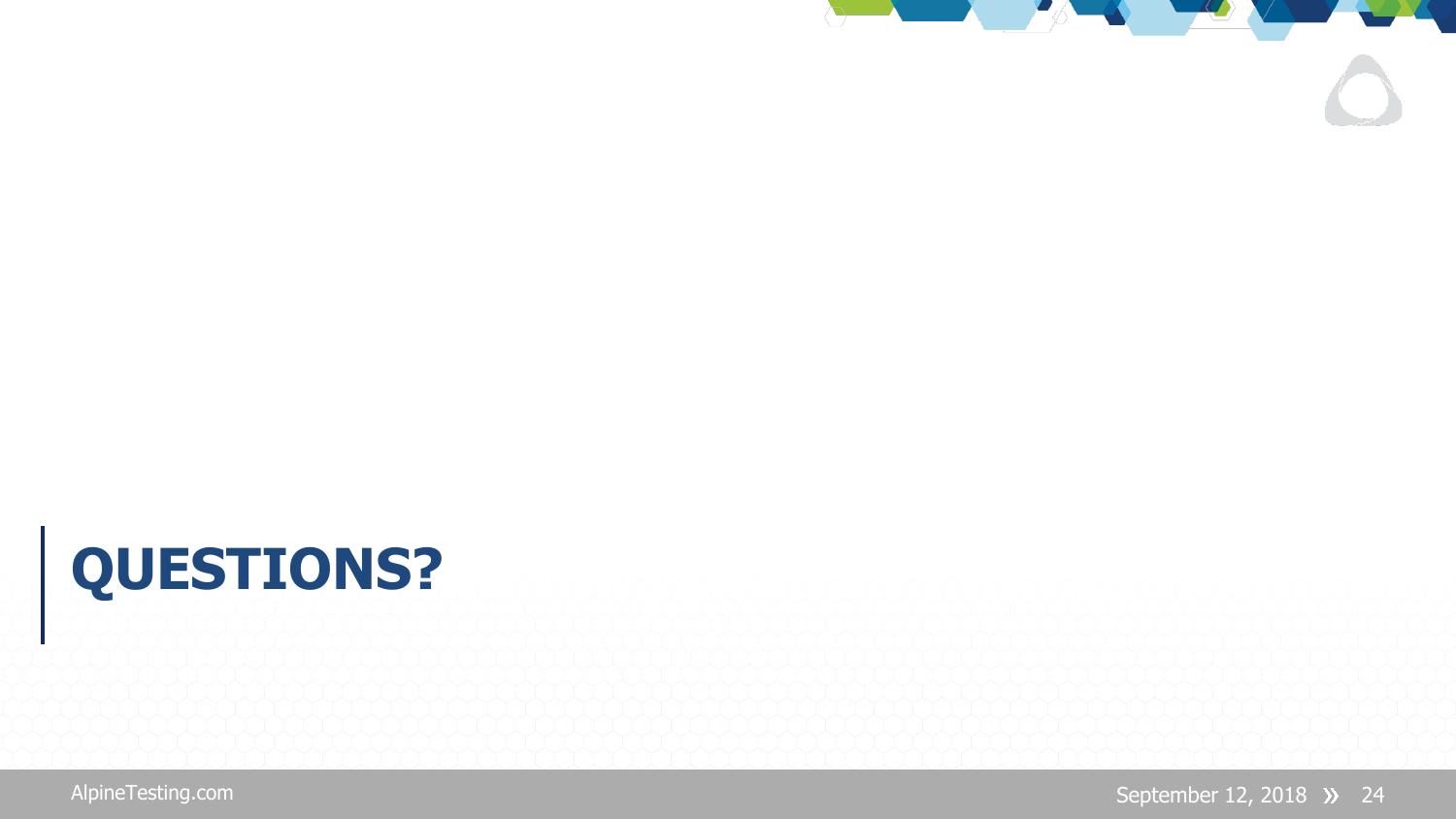